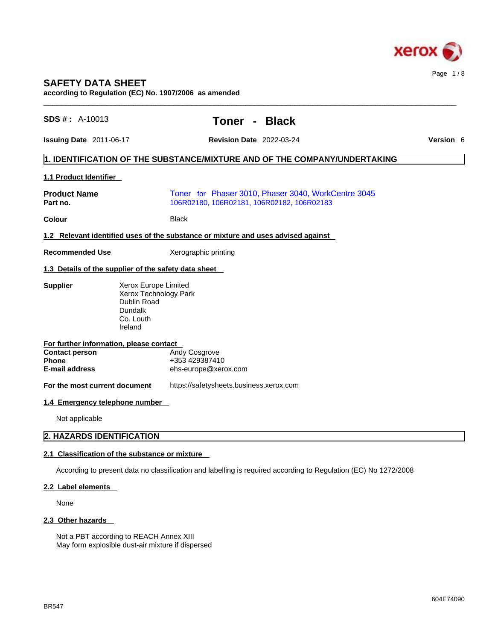

# **SAFETY DATA SHEET**

**according to Regulation (EC) No. 1907/2006 as amended** 

| <b>SDS #: A-10013</b>                                                                        | <b>Black</b><br><b>Toner</b><br>$\blacksquare$                                                                  |           |  |
|----------------------------------------------------------------------------------------------|-----------------------------------------------------------------------------------------------------------------|-----------|--|
| Issuing Date 2011-06-17                                                                      | <b>Revision Date 2022-03-24</b>                                                                                 | Version 6 |  |
|                                                                                              | 1. IDENTIFICATION OF THE SUBSTANCE/MIXTURE AND OF THE COMPANY/UNDERTAKING                                       |           |  |
| 1.1 Product Identifier                                                                       |                                                                                                                 |           |  |
| <b>Product Name</b><br>Part no.                                                              | Toner for Phaser 3010, Phaser 3040, WorkCentre 3045<br>106R02180, 106R02181, 106R02182, 106R02183               |           |  |
| Colour                                                                                       | <b>Black</b>                                                                                                    |           |  |
|                                                                                              | 1.2 Relevant identified uses of the substance or mixture and uses advised against                               |           |  |
| <b>Recommended Use</b>                                                                       | Xerographic printing                                                                                            |           |  |
| 1.3 Details of the supplier of the safety data sheet                                         |                                                                                                                 |           |  |
| <b>Supplier</b><br>Dublin Road<br>Dundalk<br>Co. Louth<br>Ireland                            | Xerox Europe Limited<br>Xerox Technology Park                                                                   |           |  |
| For further information, please contact                                                      |                                                                                                                 |           |  |
| <b>Contact person</b><br><b>Phone</b><br><b>E-mail address</b>                               | Andy Cosgrove<br>+353 429387410<br>ehs-europe@xerox.com                                                         |           |  |
| For the most current document                                                                | https://safetysheets.business.xerox.com                                                                         |           |  |
| 1.4 Emergency telephone number                                                               |                                                                                                                 |           |  |
| Not applicable                                                                               |                                                                                                                 |           |  |
| 2. HAZARDS IDENTIFICATION                                                                    |                                                                                                                 |           |  |
| 2.1 Classification of the substance or mixture                                               |                                                                                                                 |           |  |
|                                                                                              | According to present data no classification and labelling is required according to Regulation (EC) No 1272/2008 |           |  |
| 2.2 Label elements                                                                           |                                                                                                                 |           |  |
| None                                                                                         |                                                                                                                 |           |  |
| 2.3 Other hazards                                                                            |                                                                                                                 |           |  |
| Not a PBT according to REACH Annex XIII<br>May form explosible dust-air mixture if dispersed |                                                                                                                 |           |  |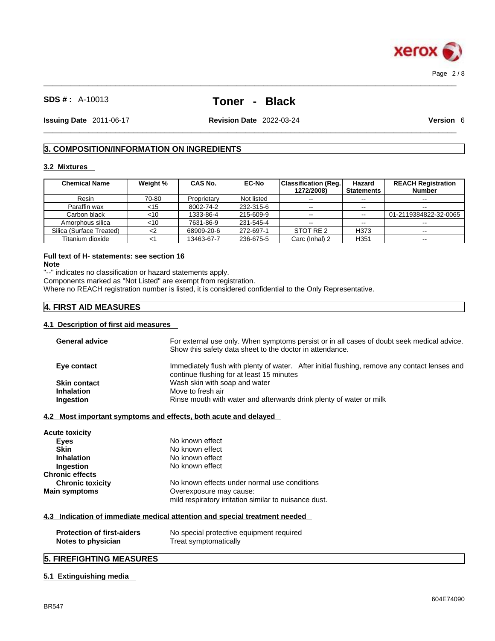

 $\_$  ,  $\_$  ,  $\_$  ,  $\_$  ,  $\_$  ,  $\_$  ,  $\_$  ,  $\_$  ,  $\_$  ,  $\_$  ,  $\_$  ,  $\_$  ,  $\_$  ,  $\_$  ,  $\_$  ,  $\_$  ,  $\_$  ,  $\_$  ,  $\_$  ,  $\_$  ,  $\_$  ,  $\_$  ,  $\_$  ,  $\_$  ,  $\_$  ,  $\_$  ,  $\_$  ,  $\_$  ,  $\_$  ,  $\_$  ,  $\_$  ,  $\_$  ,  $\_$  ,  $\_$  ,  $\_$  ,  $\_$  ,  $\_$  ,

**Issuing Date** 2011-06-17 **Revision Date** 2022-03-24 **Version** 6

 $\_$  ,  $\_$  ,  $\_$  ,  $\_$  ,  $\_$  ,  $\_$  ,  $\_$  ,  $\_$  ,  $\_$  ,  $\_$  ,  $\_$  ,  $\_$  ,  $\_$  ,  $\_$  ,  $\_$  ,  $\_$  ,  $\_$  ,  $\_$  ,  $\_$  ,  $\_$  ,  $\_$  ,  $\_$  ,  $\_$  ,  $\_$  ,  $\_$  ,  $\_$  ,  $\_$  ,  $\_$  ,  $\_$  ,  $\_$  ,  $\_$  ,  $\_$  ,  $\_$  ,  $\_$  ,  $\_$  ,  $\_$  ,  $\_$  ,

# **3. COMPOSITION/INFORMATION ON INGREDIENTS**

### **3.2 Mixtures**

| <b>Chemical Name</b>     | Weight % | <b>CAS No.</b> | <b>EC-No</b> | Classification (Reg.  <br>1272/2008) | Hazard<br><b>Statements</b> | <b>REACH Registration</b><br><b>Number</b> |
|--------------------------|----------|----------------|--------------|--------------------------------------|-----------------------------|--------------------------------------------|
| Resin                    | 70-80    | Proprietary    | Not listed   | $- -$                                | $- -$                       | $- -$                                      |
| Paraffin wax             | <15      | 8002-74-2      | 232-315-6    | $\sim$ $\sim$                        | --                          | $- -$                                      |
| Carbon black             | <10      | 1333-86-4      | 215-609-9    | $\sim$ $\sim$                        | $\sim$ $\sim$               | 01-2119384822-32-0065                      |
| Amorphous silica         | <10      | 7631-86-9      | 231-545-4    | $\sim$ $\sim$                        | $- -$                       | --                                         |
| Silica (Surface Treated) |          | 68909-20-6     | 272-697-1    | STOT RE 2                            | H373                        | $- -$                                      |
| Titanium dioxide         |          | 13463-67-7     | 236-675-5    | Carc (Inhal) 2                       | H351                        | $-$                                        |

### **Full text of H- statements: see section 16 Note**

"--" indicates no classification or hazard statements apply.

Components marked as "Not Listed" are exempt from registration.

Where no REACH registration number is listed, it is considered confidential to the Only Representative.

## **4. FIRST AID MEASURES**

### **4.1 Description of first aid measures**

| <b>General advice</b>   | For external use only. When symptoms persist or in all cases of doubt seek medical advice.<br>Show this safety data sheet to the doctor in attendance. |
|-------------------------|--------------------------------------------------------------------------------------------------------------------------------------------------------|
| Eye contact             | Immediately flush with plenty of water. After initial flushing, remove any contact lenses and<br>continue flushing for at least 15 minutes             |
| <b>Skin contact</b>     | Wash skin with soap and water                                                                                                                          |
| <b>Inhalation</b>       | Move to fresh air                                                                                                                                      |
| Ingestion               | Rinse mouth with water and afterwards drink plenty of water or milk                                                                                    |
|                         | 4.2 Most important symptoms and effects, both acute and delayed                                                                                        |
| <b>Acute toxicity</b>   |                                                                                                                                                        |
| <b>Eyes</b>             | No known effect                                                                                                                                        |
| <b>Skin</b>             | No known effect                                                                                                                                        |
| Inhalation              | No known effect                                                                                                                                        |
| Ingestion               | No known effect                                                                                                                                        |
| <b>Chronic effects</b>  |                                                                                                                                                        |
| <b>Chronic toxicity</b> | No known effects under normal use conditions                                                                                                           |
| <b>Main symptoms</b>    | Overexposure may cause:                                                                                                                                |
|                         | mild respiratory irritation similar to nuisance dust.                                                                                                  |
|                         | 4.3 Indication of immediate medical attention and special treatment needed                                                                             |
|                         | No special protective equipment required                                                                                                               |

### **5.1 Extinguishing media**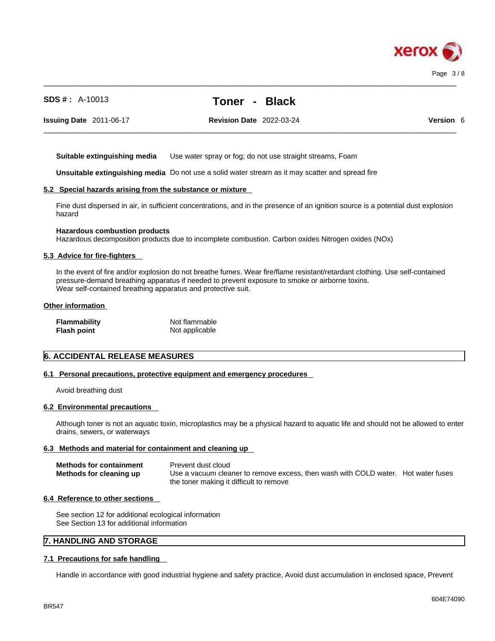

 $\_$  ,  $\_$  ,  $\_$  ,  $\_$  ,  $\_$  ,  $\_$  ,  $\_$  ,  $\_$  ,  $\_$  ,  $\_$  ,  $\_$  ,  $\_$  ,  $\_$  ,  $\_$  ,  $\_$  ,  $\_$  ,  $\_$  ,  $\_$  ,  $\_$  ,  $\_$  ,  $\_$  ,  $\_$  ,  $\_$  ,  $\_$  ,  $\_$  ,  $\_$  ,  $\_$  ,  $\_$  ,  $\_$  ,  $\_$  ,  $\_$  ,  $\_$  ,  $\_$  ,  $\_$  ,  $\_$  ,  $\_$  ,  $\_$  ,

 $\_$  ,  $\_$  ,  $\_$  ,  $\_$  ,  $\_$  ,  $\_$  ,  $\_$  ,  $\_$  ,  $\_$  ,  $\_$  ,  $\_$  ,  $\_$  ,  $\_$  ,  $\_$  ,  $\_$  ,  $\_$  ,  $\_$  ,  $\_$  ,  $\_$  ,  $\_$  ,  $\_$  ,  $\_$  ,  $\_$  ,  $\_$  ,  $\_$  ,  $\_$  ,  $\_$  ,  $\_$  ,  $\_$  ,  $\_$  ,  $\_$  ,  $\_$  ,  $\_$  ,  $\_$  ,  $\_$  ,  $\_$  ,  $\_$  ,

**Issuing Date** 2011-06-17 **Revision Date** 2022-03-24 **Version** 6

**Suitable extinguishing media** Use water spray or fog; do not use straight streams, Foam

**Unsuitable extinguishing media** Do not use a solid water stream as it may scatterand spread fire

### **5.2 Special hazards arising from the substance or mixture**

Fine dust dispersed in air, in sufficient concentrations, and in the presence of an ignition source is a potential dust explosion hazard

### **Hazardous combustion products**

Hazardous decomposition products due to incomplete combustion. Carbon oxides Nitrogen oxides (NOx)

### **5.3 Advice for fire-fighters**

In the event of fire and/or explosion do not breathe fumes. Wear fire/flame resistant/retardant clothing. Use self-contained pressure-demand breathing apparatus if needed to prevent exposure to smoke or airborne toxins. Wear self-contained breathing apparatus and protective suit.

### **Other information**

| <b>Flammability</b> | Not flammable  |
|---------------------|----------------|
| <b>Flash point</b>  | Not applicable |

### **6. ACCIDENTAL RELEASE MEASURES**

### **6.1 Personal precautions, protective equipment and emergency procedures**

Avoid breathing dust

### **6.2 Environmental precautions**

Although toner is not an aquatic toxin, microplastics may be a physical hazard to aquatic life and should not be allowed to enter drains, sewers, or waterways

### **6.3 Methods and material for containment and cleaning up**

| <b>Methods for containment</b> | Prevent dust cloud                                                                |  |
|--------------------------------|-----------------------------------------------------------------------------------|--|
| Methods for cleaning up        | Use a vacuum cleaner to remove excess, then wash with COLD water. Hot water fuses |  |
|                                | the toner making it difficult to remove                                           |  |

### **6.4 Reference to other sections**

See section 12 for additional ecological information See Section 13 for additional information

### **7. HANDLING AND STORAGE**

### **7.1 Precautions for safe handling**

Handle in accordance with good industrial hygiene and safety practice, Avoid dust accumulation in enclosed space, Prevent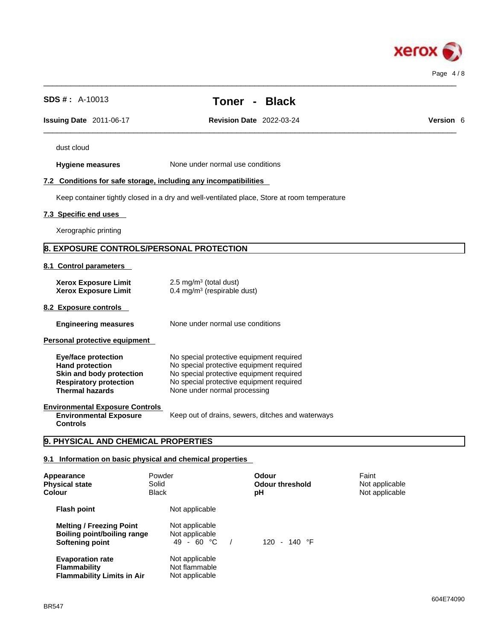

| <b>SDS #:</b> $A-10013$                                                                                                                     |                                                                      | <b>Black</b><br>Toner -                                                                                                                                                                                      |                                           |
|---------------------------------------------------------------------------------------------------------------------------------------------|----------------------------------------------------------------------|--------------------------------------------------------------------------------------------------------------------------------------------------------------------------------------------------------------|-------------------------------------------|
| Issuing Date 2011-06-17                                                                                                                     |                                                                      | <b>Revision Date 2022-03-24</b>                                                                                                                                                                              | Version 6                                 |
| dust cloud                                                                                                                                  |                                                                      |                                                                                                                                                                                                              |                                           |
| <b>Hygiene measures</b>                                                                                                                     |                                                                      | None under normal use conditions                                                                                                                                                                             |                                           |
| 7.2 Conditions for safe storage, including any incompatibilities                                                                            |                                                                      |                                                                                                                                                                                                              |                                           |
|                                                                                                                                             |                                                                      | Keep container tightly closed in a dry and well-ventilated place, Store at room temperature                                                                                                                  |                                           |
| 7.3 Specific end uses                                                                                                                       |                                                                      |                                                                                                                                                                                                              |                                           |
| Xerographic printing                                                                                                                        |                                                                      |                                                                                                                                                                                                              |                                           |
| 8. EXPOSURE CONTROLS/PERSONAL PROTECTION                                                                                                    |                                                                      |                                                                                                                                                                                                              |                                           |
| 8.1 Control parameters                                                                                                                      |                                                                      |                                                                                                                                                                                                              |                                           |
| <b>Xerox Exposure Limit</b><br><b>Xerox Exposure Limit</b>                                                                                  | 2.5 mg/m $3$ (total dust)<br>0.4 mg/m <sup>3</sup> (respirable dust) |                                                                                                                                                                                                              |                                           |
| 8.2 Exposure controls                                                                                                                       |                                                                      |                                                                                                                                                                                                              |                                           |
| <b>Engineering measures</b>                                                                                                                 |                                                                      | None under normal use conditions                                                                                                                                                                             |                                           |
| Personal protective equipment                                                                                                               |                                                                      |                                                                                                                                                                                                              |                                           |
| <b>Eye/face protection</b><br><b>Hand protection</b><br>Skin and body protection<br><b>Respiratory protection</b><br><b>Thermal hazards</b> |                                                                      | No special protective equipment required<br>No special protective equipment required<br>No special protective equipment required<br>No special protective equipment required<br>None under normal processing |                                           |
| <b>Environmental Exposure Controls</b><br><b>Environmental Exposure</b><br><b>Controls</b>                                                  |                                                                      | Keep out of drains, sewers, ditches and waterways                                                                                                                                                            |                                           |
| 9. PHYSICAL AND CHEMICAL PROPERTIES                                                                                                         |                                                                      |                                                                                                                                                                                                              |                                           |
| 9.1 Information on basic physical and chemical properties                                                                                   |                                                                      |                                                                                                                                                                                                              |                                           |
| Appearance<br><b>Physical state</b><br>Colour                                                                                               | Powder<br>Solid<br><b>Black</b>                                      | <b>Odour</b><br><b>Odour threshold</b><br>pH                                                                                                                                                                 | Faint<br>Not applicable<br>Not applicable |
| <b>Flash point</b>                                                                                                                          | Not applicable                                                       |                                                                                                                                                                                                              |                                           |
| <b>Melting / Freezing Point</b>                                                                                                             | Not applicable                                                       |                                                                                                                                                                                                              |                                           |

**Boiling point/boiling range** Not applicable

**Evaporation rate**<br> **Flammability**<br> **Rout and Motificant Photon Point Administration Photon Photon Photon Photon Photon Photon Photon** 

**Flammability Limits in Air** 

**Softening point** 49 - 60 °C / 120 - 140 °F

Not flammable<br>Not applicable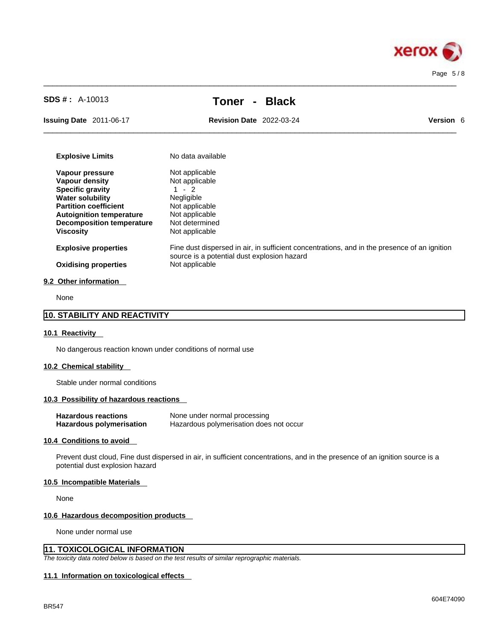

 $\_$  ,  $\_$  ,  $\_$  ,  $\_$  ,  $\_$  ,  $\_$  ,  $\_$  ,  $\_$  ,  $\_$  ,  $\_$  ,  $\_$  ,  $\_$  ,  $\_$  ,  $\_$  ,  $\_$  ,  $\_$  ,  $\_$  ,  $\_$  ,  $\_$  ,  $\_$  ,  $\_$  ,  $\_$  ,  $\_$  ,  $\_$  ,  $\_$  ,  $\_$  ,  $\_$  ,  $\_$  ,  $\_$  ,  $\_$  ,  $\_$  ,  $\_$  ,  $\_$  ,  $\_$  ,  $\_$  ,  $\_$  ,  $\_$  ,

**Issuing Date** 2011-06-17 **Revision Date** 2022-03-24 **Version** 6

 $\_$  ,  $\_$  ,  $\_$  ,  $\_$  ,  $\_$  ,  $\_$  ,  $\_$  ,  $\_$  ,  $\_$  ,  $\_$  ,  $\_$  ,  $\_$  ,  $\_$  ,  $\_$  ,  $\_$  ,  $\_$  ,  $\_$  ,  $\_$  ,  $\_$  ,  $\_$  ,  $\_$  ,  $\_$  ,  $\_$  ,  $\_$  ,  $\_$  ,  $\_$  ,  $\_$  ,  $\_$  ,  $\_$  ,  $\_$  ,  $\_$  ,  $\_$  ,  $\_$  ,  $\_$  ,  $\_$  ,  $\_$  ,  $\_$  ,

| <b>Explosive Limits</b>          | No data available                                                                                                                           |
|----------------------------------|---------------------------------------------------------------------------------------------------------------------------------------------|
| Vapour pressure                  | Not applicable                                                                                                                              |
| Vapour density                   | Not applicable                                                                                                                              |
| <b>Specific gravity</b>          | - 2                                                                                                                                         |
| <b>Water solubility</b>          | <b>Negligible</b>                                                                                                                           |
| <b>Partition coefficient</b>     | Not applicable                                                                                                                              |
| <b>Autoignition temperature</b>  | Not applicable                                                                                                                              |
| <b>Decomposition temperature</b> | Not determined                                                                                                                              |
| <b>Viscosity</b>                 | Not applicable                                                                                                                              |
| <b>Explosive properties</b>      | Fine dust dispersed in air, in sufficient concentrations, and in the presence of an ignition<br>source is a potential dust explosion hazard |
| <b>Oxidising properties</b>      | Not applicable                                                                                                                              |
| 9.2 Other information            |                                                                                                                                             |
|                                  |                                                                                                                                             |

None

### **10. STABILITY AND REACTIVITY**

### **10.1 Reactivity**

No dangerous reaction known under conditions of normal use

### **10.2 Chemical stability**

Stable under normal conditions

### **10.3 Possibility of hazardous reactions**

**Hazardous reactions**<br> **Hazardous polymerisation Hazardous polymerisation does Hazardous polymerisation does not occur** 

### **10.4 Conditions to avoid**

Prevent dust cloud, Fine dust dispersed in air, in sufficient concentrations, and in the presence of an ignition source is a potential dust explosion hazard

### **10.5 Incompatible Materials**

None

### **10.6 Hazardous decomposition products**

None under normal use

### **11. TOXICOLOGICAL INFORMATION**

*The toxicity data noted below is based on the test results of similar reprographic materials.* 

### **11.1 Information on toxicological effects**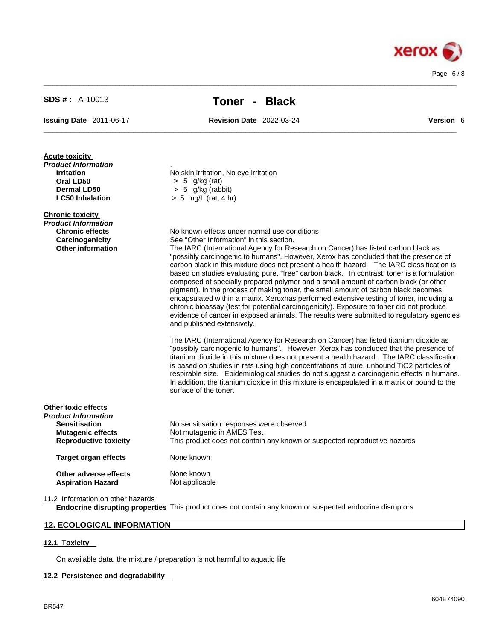$\_$  ,  $\_$  ,  $\_$  ,  $\_$  ,  $\_$  ,  $\_$  ,  $\_$  ,  $\_$  ,  $\_$  ,  $\_$  ,  $\_$  ,  $\_$  ,  $\_$  ,  $\_$  ,  $\_$  ,  $\_$  ,  $\_$  ,  $\_$  ,  $\_$  ,  $\_$  ,  $\_$  ,  $\_$  ,  $\_$  ,  $\_$  ,  $\_$  ,  $\_$  ,  $\_$  ,  $\_$  ,  $\_$  ,  $\_$  ,  $\_$  ,  $\_$  ,  $\_$  ,  $\_$  ,  $\_$  ,  $\_$  ,  $\_$  ,

**Issuing Date** 2011-06-17 **Revision Date** 2022-03-24 **Version** 6

 $\_$  ,  $\_$  ,  $\_$  ,  $\_$  ,  $\_$  ,  $\_$  ,  $\_$  ,  $\_$  ,  $\_$  ,  $\_$  ,  $\_$  ,  $\_$  ,  $\_$  ,  $\_$  ,  $\_$  ,  $\_$  ,  $\_$  ,  $\_$  ,  $\_$  ,  $\_$  ,  $\_$  ,  $\_$  ,  $\_$  ,  $\_$  ,  $\_$  ,  $\_$  ,  $\_$  ,  $\_$  ,  $\_$  ,  $\_$  ,  $\_$  ,  $\_$  ,  $\_$  ,  $\_$  ,  $\_$  ,  $\_$  ,  $\_$  ,

| <b>Acute toxicity</b><br>Product Information<br><b>Irritation</b><br>Oral LD50<br><b>Dermal LD50</b><br><b>LC50 Inhalation</b> | No skin irritation, No eye irritation<br>$> 5$ g/kg (rat)<br>$> 5$ g/kg (rabbit)<br>$> 5$ mg/L (rat, 4 hr)                                                                                                                                                                                                                                                                                                                                                                                                                                                                                                                                                                                                                                                                                                                                                                                                                                                                                                                                                                                                                                                                                                                                                                                                                                                                                                                                                                                                                                                        |
|--------------------------------------------------------------------------------------------------------------------------------|-------------------------------------------------------------------------------------------------------------------------------------------------------------------------------------------------------------------------------------------------------------------------------------------------------------------------------------------------------------------------------------------------------------------------------------------------------------------------------------------------------------------------------------------------------------------------------------------------------------------------------------------------------------------------------------------------------------------------------------------------------------------------------------------------------------------------------------------------------------------------------------------------------------------------------------------------------------------------------------------------------------------------------------------------------------------------------------------------------------------------------------------------------------------------------------------------------------------------------------------------------------------------------------------------------------------------------------------------------------------------------------------------------------------------------------------------------------------------------------------------------------------------------------------------------------------|
| <b>Chronic toxicity</b><br>Product Information<br><b>Chronic effects</b><br>Carcinogenicity<br><b>Other information</b>        | No known effects under normal use conditions<br>See "Other Information" in this section.<br>The IARC (International Agency for Research on Cancer) has listed carbon black as<br>"possibly carcinogenic to humans". However, Xerox has concluded that the presence of<br>carbon black in this mixture does not present a health hazard. The IARC classification is<br>based on studies evaluating pure, "free" carbon black. In contrast, toner is a formulation<br>composed of specially prepared polymer and a small amount of carbon black (or other<br>pigment). In the process of making toner, the small amount of carbon black becomes<br>encapsulated within a matrix. Xeroxhas performed extensive testing of toner, including a<br>chronic bioassay (test for potential carcinogenicity). Exposure to toner did not produce<br>evidence of cancer in exposed animals. The results were submitted to regulatory agencies<br>and published extensively.<br>The IARC (International Agency for Research on Cancer) has listed titanium dioxide as<br>"possibly carcinogenic to humans". However, Xerox has concluded that the presence of<br>titanium dioxide in this mixture does not present a health hazard. The IARC classification<br>is based on studies in rats using high concentrations of pure, unbound TiO2 particles of<br>respirable size. Epidemiological studies do not suggest a carcinogenic effects in humans.<br>In addition, the titanium dioxide in this mixture is encapsulated in a matrix or bound to the<br>surface of the toner. |
| Other toxic effects<br>Product Information<br><b>Sensitisation</b><br><b>Mutagenic effects</b><br><b>Reproductive toxicity</b> | No sensitisation responses were observed<br>Not mutagenic in AMES Test<br>This product does not contain any known or suspected reproductive hazards                                                                                                                                                                                                                                                                                                                                                                                                                                                                                                                                                                                                                                                                                                                                                                                                                                                                                                                                                                                                                                                                                                                                                                                                                                                                                                                                                                                                               |
| <b>Target organ effects</b>                                                                                                    | None known                                                                                                                                                                                                                                                                                                                                                                                                                                                                                                                                                                                                                                                                                                                                                                                                                                                                                                                                                                                                                                                                                                                                                                                                                                                                                                                                                                                                                                                                                                                                                        |
| Other adverse effects<br><b>Aspiration Hazard</b>                                                                              | None known<br>Not applicable                                                                                                                                                                                                                                                                                                                                                                                                                                                                                                                                                                                                                                                                                                                                                                                                                                                                                                                                                                                                                                                                                                                                                                                                                                                                                                                                                                                                                                                                                                                                      |

11.2 Information on other hazards

**Endocrine disrupting properties** This product does not contain any known or suspected endocrine disruptors

# **12. ECOLOGICAL INFORMATION**

### **12.1 Toxicity**

On available data, the mixture / preparation is not harmful to aquatic life

### **12.2 Persistence and degradability**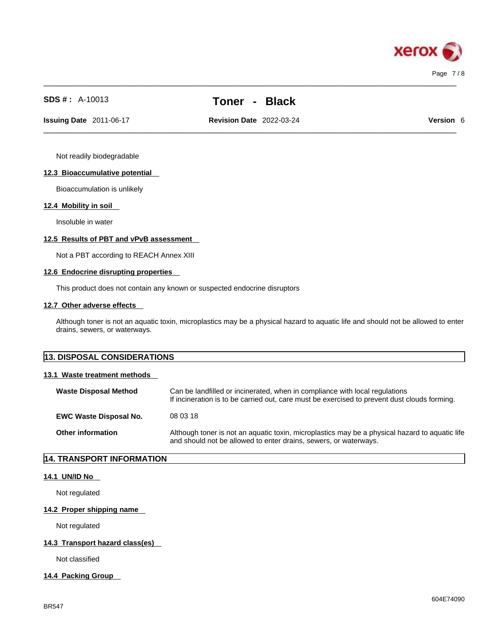

 $\_$  ,  $\_$  ,  $\_$  ,  $\_$  ,  $\_$  ,  $\_$  ,  $\_$  ,  $\_$  ,  $\_$  ,  $\_$  ,  $\_$  ,  $\_$  ,  $\_$  ,  $\_$  ,  $\_$  ,  $\_$  ,  $\_$  ,  $\_$  ,  $\_$  ,  $\_$  ,  $\_$  ,  $\_$  ,  $\_$  ,  $\_$  ,  $\_$  ,  $\_$  ,  $\_$  ,  $\_$  ,  $\_$  ,  $\_$  ,  $\_$  ,  $\_$  ,  $\_$  ,  $\_$  ,  $\_$  ,  $\_$  ,  $\_$  ,

 $\_$  ,  $\_$  ,  $\_$  ,  $\_$  ,  $\_$  ,  $\_$  ,  $\_$  ,  $\_$  ,  $\_$  ,  $\_$  ,  $\_$  ,  $\_$  ,  $\_$  ,  $\_$  ,  $\_$  ,  $\_$  ,  $\_$  ,  $\_$  ,  $\_$  ,  $\_$  ,  $\_$  ,  $\_$  ,  $\_$  ,  $\_$  ,  $\_$  ,  $\_$  ,  $\_$  ,  $\_$  ,  $\_$  ,  $\_$  ,  $\_$  ,  $\_$  ,  $\_$  ,  $\_$  ,  $\_$  ,  $\_$  ,  $\_$  , **Issuing Date** 2011-06-17 **Revision Date** 2022-03-24 **Version** 6

Not readily biodegradable

### **12.3 Bioaccumulative potential**

Bioaccumulation is unlikely

### **12.4 Mobility in soil**

Insoluble in water

### **12.5 Results of PBT and vPvB assessment**

Not a PBT according to REACH Annex XIII

### **12.6 Endocrine disrupting properties**

This product does not contain any known or suspected endocrine disruptors

### **12.7 Other adverse effects**

Although toner is not an aquatic toxin, microplastics may be a physical hazard to aquatic life and should not be allowed to enter drains, sewers, or waterways.

| <b>13. DISPOSAL CONSIDERATIONS</b> |  |
|------------------------------------|--|
|                                    |  |

### **13.1 Waste treatment methods**

| <b>Waste Disposal Method</b>  | Can be landfilled or incinerated, when in compliance with local regulations<br>If incineration is to be carried out, care must be exercised to prevent dust clouds forming. |
|-------------------------------|-----------------------------------------------------------------------------------------------------------------------------------------------------------------------------|
| <b>EWC Waste Disposal No.</b> | 08 03 18                                                                                                                                                                    |
| <b>Other information</b>      | Although toner is not an aquatic toxin, microplastics may be a physical hazard to aquatic life<br>and should not be allowed to enter drains, sewers, or waterways.          |

### **14. TRANSPORT INFORMATION**

### **14.1 UN/ID No**

Not regulated

### **14.2 Proper shipping name**

Not regulated

### **14.3 Transport hazard class(es)**

Not classified

### **14.4 Packing Group**